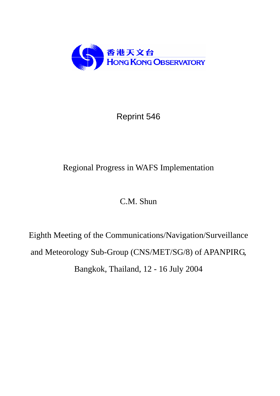

Reprint 546

# Regional Progress in WAFS Implementation

## C.M. Shun

Eighth Meeting of the Communications/Navigation/Surveillance and Meteorology Sub-Group (CNS/MET/SG/8) of APANPIRG, Bangkok, Thailand, 12 - 16 July 2004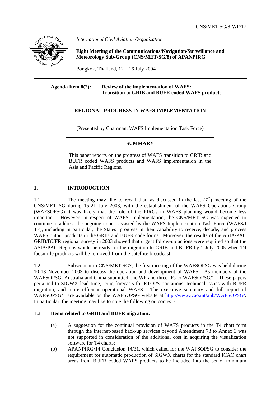

*International Civil Aviation Organization*

 **Eight Meeting of the Communications/Navigation/Surveillance and Meteorology Sub-Group (CNS/MET/SG/8) of APANPIRG**

Bangkok, Thailand, 12 – 16 July 2004

## **Agenda Item 8(2): Review of the implementation of WAFS: Transition to GRIB and BUFR coded WAFS products**

## **REGIONAL PROGRESS IN WAFS IMPLEMENTATION**

(Presented by Chairman, WAFS Implementation Task Force)

## **SUMMARY**

This paper reports on the progress of WAFS transition to GRIB and BUFR coded WAFS products and WAFS implementation in the Asia and Pacific Regions.

## **1. INTRODUCTION**

1.1 The meeting may like to recall that, as discussed in the last  $(7<sup>th</sup>)$  meeting of the CNS/MET SG during 15-21 July 2003, with the establishment of the WAFS Operations Group (WAFSOPSG) it was likely that the role of the PIRGs in WAFS planning would become less important. However, in respect of WAFS implementation, the CNS/MET SG was expected to continue to address the ongoing issues, assisted by the WAFS Implementation Task Force (WAFS/I TF), including in particular, the States' progress in their capability to receive, decode, and process WAFS output products in the GRIB and BUFR code forms. Moreover, the results of the ASIA/PAC GRIB/BUFR regional survey in 2003 showed that urgent follow-up actions were required so that the ASIA/PAC Regions would be ready for the migration to GRIB and BUFR by 1 July 2005 when T4 facsimile products will be removed from the satellite broadcast.

1.2 Subsequent to CNS/MET SG7, the first meeting of the WAFSOPSG was held during 10-13 November 2003 to discuss the operation and development of WAFS. As members of the WAFSOPSG, Australia and China submitted one WP and three IPs to WAFSOPSG/1. These papers pertained to SIGWX lead time, icing forecasts for ETOPS operations, technical issues with BUFR migration, and more efficient operational WAFS. The executive summary and full report of WAFSOPSG/1 are available on the WAFSOPSG website at [http://www.icao.int/anb/WAFSOPSG/.](http://www.icao.int//anb/WAFSOPSG/) In particular, the meeting may like to note the following outcomes: -

## 1.2.1 **Items related to GRIB and BUFR migration:**

- (a) A suggestion for the continual provision of WAFS products in the T4 chart form through the Internet-based back-up services beyond Amendment 73 to Annex 3 was not supported in consideration of the additional cost in acquiring the visualization software for T4 charts;
- (b) APANPIRG/14 Conclusion 14/31, which called for the WAFSOPSG to consider the requirement for automatic production of SIGWX charts for the standard ICAO chart areas from BUFR coded WAFS products to be included into the set of minimum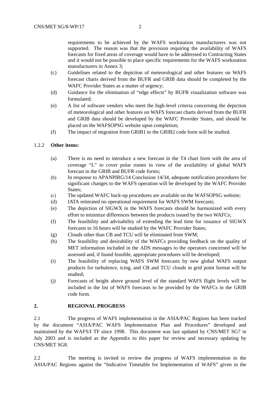requirements to be achieved by the WAFS workstation manufacturers was not supported. The reason was that the provision requiring the availability of WAFS forecasts for fixed areas of coverage would have to be addressed to Contracting States and it would not be possible to place specific requirements for the WAFS workstation manufacturers in Annex 3;

- (c) Guidelines related to the depiction of meteorological and other features on WAFS forecast charts derived from the BUFR and GRIB data should be completed by the WAFC Provider States as a matter of urgency:
- (d) Guidance for the elimination of "edge effects" by BUFR visualization software was formulated;
- (e) A list of software vendors who meet the high-level criteria concerning the depiction of meteorological and other features on WAFS forecast charts derived from the BUFR and GRIB data should be developed by the WAFC Provider States, and should be placed on the WAFSOPSG website upon completion;
- (f) The impact of migration from GRIB1 to the GRIB2 code form will be studied.

## 1.2.2 **Other items:**

- (a) There is no need to introduce a new forecast in the T4 chart form with the area of coverage "L" to cover polar routes in view of the availability of global WAFS forecast in the GRIB and BUFR code forms;
- (b) In response to APANPIRG/14 Conclusion 14/34, adequate notification procedures for significant changes to the WAFS operation will be developed by the WAFC Provider States;
- (c) The updated WAFC back-up procedures are available on the WAFSOPSG website;
- (d) IATA reiterated no operational requirement for WAFS SWM forecasts;
- (e) The depiction of SIGWX in the WAFS forecasts should be harmonized with every effort to minimize differences between the products issued by the two WAFCs;
- (f) The feasibility and advisability of extending the lead time for issuance of SIGWX forecasts to 16 hours will be studied by the WAFC Provider States;
- (g) Clouds other than CB and TCU will be eliminated from SWM;
- (h) The feasibility and desirability of the WAFCs providing feedback on the quality of MET information included in the ADS messages to the operators concerned will be assessed and, if found feasible, appropriate procedures will be developed;
- (i) The feasibility of replacing WAFS SWM forecasts by new global WAFS output products for turbulence, icing, and CB and TCU clouds in grid point format will be studied;
- (j) Forecasts of height above ground level of the standard WAFS flight levels will be included in the list of WAFS forecasts to be provided by the WAFCs in the GRIB code form.

## **2. REGIONAL PROGRESS**

2.1 The progress of WAFS implementation in the ASIA/PAC Regions has been tracked by the document "ASIA/PAC WAFS Implementation Plan and Procedures" developed and maintained by the WAFS/I TF since 1998. This document was last updated by CNS/MET SG7 in July 2003 and is included as the Appendix to this paper for review and necessary updating by CNS/MET SG8.

2.2 The meeting is invited to review the progress of WAFS implementation in the ASIA/PAC Regions against the "Indicative Timetable for Implementation of WAFS" given in the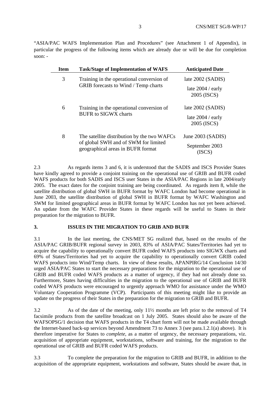"ASIA/PAC WAFS Implementation Plan and Procedures" (see Attachment 1 of Appendix), in particular the progress of the following items which are already due or will be due for completion soon:  $-$ 

| <b>Item</b> | <b>Task/Stage of Implementation of WAFS</b>                                                                              | <b>Anticipated Date</b>            |
|-------------|--------------------------------------------------------------------------------------------------------------------------|------------------------------------|
| 3           | Training in the operational conversion of<br><b>GRIB</b> forecasts to Wind / Temp charts                                 | late 2002 (SADIS)                  |
|             |                                                                                                                          | late $2004 /$ early<br>2005 (ISCS) |
| 6           | Training in the operational conversion of<br><b>BUFR</b> to SIGWX charts                                                 | late 2002 (SADIS)                  |
|             |                                                                                                                          | late $2004 /$ early<br>2005 (ISCS) |
| 8           | The satellite distribution by the two WAFCs<br>of global SWH and of SWM for limited<br>geographical areas in BUFR format | June 2003 (SADIS)                  |
|             |                                                                                                                          | September 2003<br>(ISCS)           |

2.3 As regards items 3 and 6, it is understood that the SADIS and ISCS Provider States have kindly agreed to provide a conjoint training on the operational use of GRIB and BUFR coded WAFS products for both SADIS and ISCS user States in the ASIA/PAC Regions in late 2004/early 2005. The exact dates for the conjoint training are being coordinated. As regards item 8, while the satellite distribution of global SWH in BUFR format by WAFC London had become operational in June 2003, the satellite distribution of global SWH in BUFR format by WAFC Washington and SWM for limited geographical areas in BUFR format by WAFC London has not yet been achieved. An update from the WAFC Provider States in these regards will be useful to States in their preparation for the migration to BUFR.

#### **3. ISSUES IN THE MIGRATION TO GRIB AND BUFR**

3.1 In the last meeting, the CNS/MET SG realized that, based on the results of the ASIA/PAC GRIB/BUFR regional survey in 2003, 83% of ASIA/PAC States/Territories had yet to acquire the capability to operationally convert BUFR coded WAFS products into SIGWX charts and 69% of States/Territories had yet to acquire the capability to operationally convert GRIB coded WAFS products into Wind/Temp charts. In view of these results, APANPIRG/14 Conclusion 14/30 urged ASIA/PAC States to start the necessary preparations for the migration to the operational use of GRIB and BUFR coded WAFS products as a matter of urgency, if they had not already done so. Furthermore, States having difficulties in the migration to the operational use of GRIB and BUFR coded WAFS products were encouraged to urgently approach WMO for assistance under the WMO Voluntary Cooperation Programme (VCP). Participants of this meeting might like to provide an update on the progress of their States in the preparation for the migration to GRIB and BUFR.

3.2 As of the date of the meeting, only 11½ months are left prior to the removal of T4 facsimile products from the satellite broadcast on 1 July 2005. States should also be aware of the WAFSOPSG/1 decision that WAFS products in the T4 chart form will not be made available through the Internet-based back-up services beyond Amendment 73 to Annex 3 (see para.1.2.1(a) above). It is therefore imperative for States to *complete*, as a matter of urgency, the necessary preparations, viz. acquisition of appropriate equipment, workstations, software and training, for the migration to the operational use of GRIB and BUFR coded WAFS products.

3.3 To complete the preparation for the migration to GRIB and BUFR, in addition to the acquisition of the appropriate equipment, workstations and software, States should be aware that, in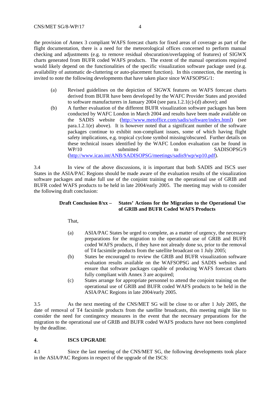CNS/MET SG/8-WP/17 4

the provision of Annex 3 compliant WAFS forecast charts for fixed areas of coverage as part of the flight documentation, there is a need for the meteorological offices concerned to perform manual checking and adjustments (e.g. to remove residual obscuration/overlapping of features) of SIGWX charts generated from BUFR coded WAFS products. The extent of the manual operations required would likely depend on the functionalities of the specific visualization software package used (e.g. availability of automatic de-cluttering or auto-placement function). In this connection, the meeting is invited to note the following developments that have taken place since WAFSOPSG/1:

- (a) Revised guidelines on the depiction of SIGWX features on WAFS forecast charts derived from BUFR have been developed by the WAFC Provider States and provided to software manufacturers in January 2004 (see para.1.2.1(c)-(d) above); and
- (b) A further evaluation of the different BUFR visualization software packages has been conducted by WAFC London in March 2004 and results have been made available on the SADIS website [\(http://www.metoffice.com/sadis/software/index.html](http://www.metoffice.com/sadis/software/index.html)) (see para.1.2.1(e) above). It is however noted that a significant number of the software packages continue to exhibit non-compliant issues, some of which having flight safety implications, e.g. tropical cyclone symbol missing/obscured. Further details on these technical issues identified by the WAFC London evaluation can be found in WP/10 submitted to SADISOPSG/9 ([http://www.icao.int/ANB/SADISOPSG/meetings/sadis9/wp/wp10.pdf](http://www.icao.int/ANB/SADISOPSG/meetings/sadis9/wp/)).

3.4 In view of the above discussions, it is important that both SADIS and ISCS user States in the ASIA/PAC Regions should be made aware of the evaluation results of the visualization software packages and make full use of the conjoint training on the operational use of GRIB and BUFR coded WAFS products to be held in late 2004/early 2005. The meeting may wish to consider the following draft conclusion:

## **Draft Conclusion 8/xx – States' Actions for the Migration to the Operational Use of GRIB and BUFR Coded WAFS Products**

That,

- (a) ASIA/PAC States be urged to complete, as a matter of urgency, the necessary preparations for the migration to the operational use of GRIB and BUFR coded WAFS products, if they have not already done so, prior to the removal of T4 facsimile products from the satellite broadcast on 1 July 2005;
- (b) States be encouraged to review the GRIB and BUFR visualization software evaluation results available on the WAFSOPSG and SADIS websites and ensure that software packages capable of producing WAFS forecast charts fully compliant with Annex 3 are acquired;
- (c) States arrange for appropriate personnel to attend the conjoint training on the operational use of GRIB and BUFR coded WAFS products to be held in the ASIA/PAC Regions in late 2004/early 2005.

3.5 As the next meeting of the CNS/MET SG will be close to or after 1 July 2005, the date of removal of T4 facsimile products from the satellite broadcasts, this meeting might like to consider the need for contingency measures in the event that the necessary preparations for the migration to the operational use of GRIB and BUFR coded WAFS products have not been completed by the deadline.

## **4. ISCS UPGRADE**

4.1 Since the last meeting of the CNS/MET SG, the following developments took place in the ASIA/PAC Regions in respect of the upgrade of the ISCS: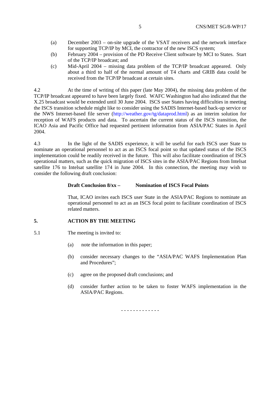- (a) December 2003 on-site upgrade of the VSAT receivers and the network interface for supporting TCP/IP by MCI, the contractor of the new ISCS system;
- (b) February 2004 provision of the PD Receive Client software by MCI to States. Start of the TCP/IP broadcast; and
- (c) Mid-April 2004 missing data problem of the TCP/IP broadcast appeared. Only about a third to half of the normal amount of T4 charts and GRIB data could be received from the TCP/IP broadcast at certain sites.

4.2 At the time of writing of this paper (late May 2004), the missing data problem of the TCP/IP broadcast appeared to have been largely fixed. WAFC Washington had also indicated that the X.25 broadcast would be extended until 30 June 2004. ISCS user States having difficulties in meeting the ISCS transition schedule might like to consider using the SADIS Internet-based back-up service or the NWS Internet-based file server (http://weather.gov/tg/dataprod.html) as an interim solution for reception of WAFS products and data. To ascertain the current status of the ISCS transition, the ICAO Asia and Pacific Office had requested pertinent information from ASIA/PAC States in April 2004.

4.3 In the light of the SADIS experience, it will be useful for each ISCS user State to nominate an operational personnel to act as an ISCS focal point so that updated status of the ISCS implementation could be readily received in the future. This will also facilitate coordination of ISCS operational matters, such as the quick migration of ISCS sites in the ASIA/PAC Regions from Intelsat satellite 176 to Intelsat satellite 174 in June 2004. In this connection, the meeting may wish to consider the following draft conclusion:

#### **Draft Conclusion 8/xx – Nomination of ISCS Focal Points**

That, ICAO invites each ISCS user State in the ASIA/PAC Regions to nominate an operational personnel to act as an ISCS focal point to facilitate coordination of ISCS related matters.

#### **5. ACTION BY THE MEETING**

- 5.1 The meeting is invited to:
	- (a) note the information in this paper;
	- (b) consider necessary changes to the "ASIA/PAC WAFS Implementation Plan and Procedures";
	- (c) agree on the proposed draft conclusions; and
	- (d) consider further action to be taken to foster WAFS implementation in the ASIA/PAC Regions.

- - - - - - - - - - - - -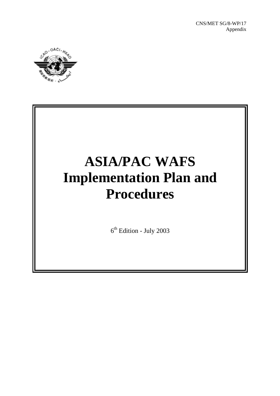

# **ASIA/PAC WAFS Implementation Plan and Procedures**

 $6<sup>th</sup>$  Edition - July 2003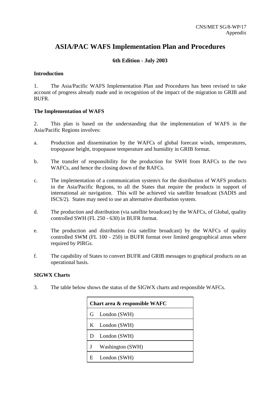## **ASIA/PAC WAFS Implementation Plan and Procedures**

## **6th Edition - July 2003**

## **Introduction**

1. The Asia/Pacific WAFS Implementation Plan and Procedures has been revised to take account of progress already made and in recognition of the impact of the migration to GRIB and BUFR.

## **The Implementation of WAFS**

2. This plan is based on the understanding that the implementation of WAFS in the Asia/Pacific Regions involves:

- a. Production and dissemination by the WAFCs of global forecast winds, temperatures, tropopause height, tropopause temperature and humidity in GRIB format.
- b. The transfer of responsibility for the production for SWH from RAFCs to the two WAFCs, and hence the closing down of the RAFCs.
- c. The implementation of a communication system/s for the distribution of WAFS products in the Asia/Pacific Regions, to all the States that require the products in support of international air navigation. This will be achieved via satellite broadcast (SADIS and ISCS/2). States may need to use an alternative distribution system.
- d. The production and distribution (via satellite broadcast) by the WAFCs, of Global, quality controlled SWH (FL 250 - 630) in BUFR format.
- e. The production and distribution (via satellite broadcast) by the WAFCs of quality controlled SWM (FL 100 - 250) in BUFR format over limited geographical areas where required by PIRGs.
- f. The capability of States to convert BUFR and GRIB messages to graphical products on an operational basis.

## **SIGWX Charts**

3. The table below shows the status of the SIGWX charts and responsible WAFCs.

| Chart area & responsible WAFC |                  |  |
|-------------------------------|------------------|--|
|                               | G London (SWH)   |  |
|                               | K London (SWH)   |  |
| D                             | London (SWH)     |  |
|                               | Washington (SWH) |  |
| E                             | London (SWH)     |  |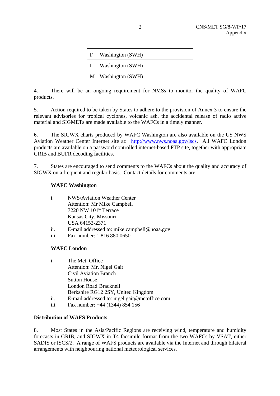| F | Washington (SWH) |
|---|------------------|
|   | Washington (SWH) |
| M | Washington (SWH) |

4. There will be an ongoing requirement for NMSs to monitor the quality of WAFC products.

5. Action required to be taken by States to adhere to the provision of Annex 3 to ensure the relevant advisories for tropical cyclones, volcanic ash, the accidental release of radio active material and SIGMETs are made available to the WAFCs in a timely manner.

6. The SIGWX charts produced by WAFC Washington are also available on the US NWS Aviation Weather Center Internet site at: http://www.nws.noaa.gov/iscs. All WAFC London products are available on a password controlled internet-based FTP site, together with appropriate GRIB and BUFR decoding facilities.

7. States are encouraged to send comments to the WAFCs about the quality and accuracy of SIGWX on a frequent and regular basis. Contact details for comments are:

## **WAFC Washington**

| i. | <b>NWS/Aviation Weather Center</b> |  |
|----|------------------------------------|--|
|    | Attention: Mr Mike Campbell        |  |
|    | 7220 NW 101 <sup>st</sup> Terrace  |  |
|    | Kansas City, Missouri              |  |
|    | USA 64153-2371                     |  |

- ii. E-mail addressed to: mike.campbell@noaa.gov
- iii. Fax number: 1 816 880 0650

## **WAFC London**

| i. | The Met. Office                    |
|----|------------------------------------|
|    | Attention: Mr. Nigel Gait          |
|    | <b>Civil Aviation Branch</b>       |
|    | <b>Sutton House</b>                |
|    | London Road Bracknell              |
|    | Berkshire RG12 2SY, United Kingdom |

- ii. E-mail addressed to: nigel.gait@metoffice.com
- iii. Fax number: +44 (1344) 854 156

## **Distribution of WAFS Products**

8. Most States in the Asia/Pacific Regions are receiving wind, temperature and humidity forecasts in GRIB, and SIGWX in T4 facsimile format from the two WAFCs by VSAT, either SADIS or ISCS/2. A range of WAFS products are available via the Internet and through bilateral arrangements with neighbouring national meteorological services.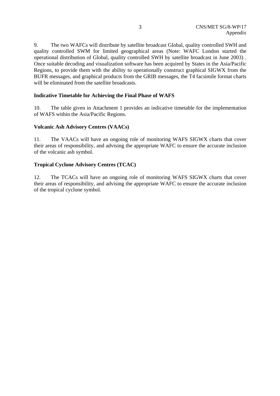9. The two WAFCs will distribute by satellite broadcast Global, quality controlled SWH and quality controlled SWM for limited geographical areas (Note: WAFC London started the operational distribution of Global, quality controlled SWH by satellite broadcast in June 2003) . Once suitable decoding and visualization software has been acquired by States in the Asia/Pacific Regions, to provide them with the ability to operationally construct graphical SIGWX from the BUFR messages, and graphical products from the GRIB messages, the T4 facsimile format charts will be eliminated from the satellite broadcasts.

## **Indicative Timetable for Achieving the Final Phase of WAFS**

10. The table given in Attachment 1 provides an indicative timetable for the implementation of WAFS within the Asia/Pacific Regions.

## **Volcanic Ash Advisory Centres (VAACs)**

11. The VAACs will have an ongoing role of monitoring WAFS SIGWX charts that cover their areas of responsibility, and advising the appropriate WAFC to ensure the accurate inclusion of the volcanic ash symbol.

## **Tropical Cyclone Advisory Centres (TCAC)**

12. The TCACs will have an ongoing role of monitoring WAFS SIGWX charts that cover their areas of responsibility, and advising the appropriate WAFC to ensure the accurate inclusion of the tropical cyclone symbol.